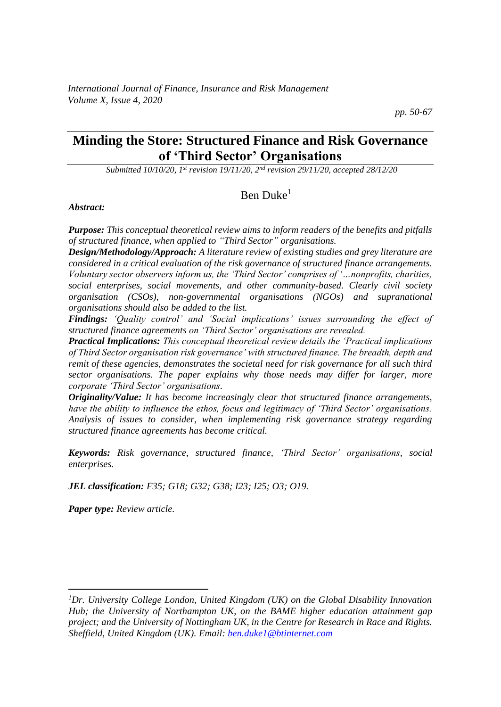# **Minding the Store: Structured Finance and Risk Governance of 'Third Sector' Organisations**

*Submitted 10/10/20, 1st revision 19/11/20, 2nd revision 29/11/20, accepted 28/12/20*

# Ben Duke<sup>1</sup>

*Abstract:*

*Purpose: This conceptual theoretical review aims to inform readers of the benefits and pitfalls of structured finance, when applied to "Third Sector" organisations.*

*Design/Methodology/Approach: A literature review of existing studies and grey literature are considered in a critical evaluation of the risk governance of structured finance arrangements. Voluntary sector observers inform us, the 'Third Sector' comprises of '…nonprofits, charities, social enterprises, social movements, and other community-based. Clearly civil society organisation (CSOs), non-governmental organisations (NGOs) and supranational organisations should also be added to the list.* 

*Findings: 'Quality control' and 'Social implications' issues surrounding the effect of structured finance agreements on 'Third Sector' organisations are revealed.* 

*Practical Implications: This conceptual theoretical review details the 'Practical implications of Third Sector organisation risk governance' with structured finance. The breadth, depth and remit of these agencies, demonstrates the societal need for risk governance for all such third sector organisations. The paper explains why those needs may differ for larger, more corporate 'Third Sector' organisations.*

*Originality/Value: It has become increasingly clear that structured finance arrangements, have the ability to influence the ethos, focus and legitimacy of 'Third Sector' organisations. Analysis of issues to consider, when implementing risk governance strategy regarding structured finance agreements has become critical.*

*Keywords: Risk governance, structured finance, 'Third Sector' organisations, social enterprises.*

*JEL classification: F35; G18; G32; G38; I23; I25; O3; O19.*

*Paper type: Review article.*

*<sup>1</sup>Dr. University College London, United Kingdom (UK) on the Global Disability Innovation Hub; the University of Northampton UK, on the BAME higher education attainment gap project; and the University of Nottingham UK, in the Centre for Research in Race and Rights. Sheffield, United Kingdom (UK). Email[: ben.duke1@btinternet.com](mailto:ben.duke1@btinternet.com)*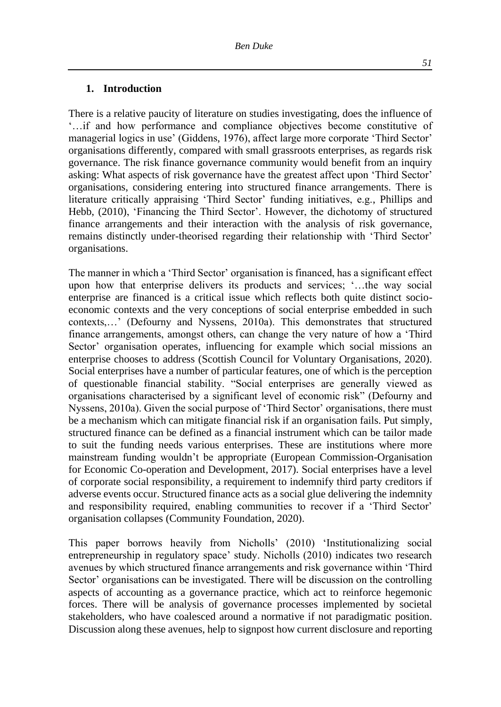#### **1. Introduction**

There is a relative paucity of literature on studies investigating, does the influence of '…if and how performance and compliance objectives become constitutive of managerial logics in use' (Giddens, 1976), affect large more corporate 'Third Sector' organisations differently, compared with small grassroots enterprises, as regards risk governance. The risk finance governance community would benefit from an inquiry asking: What aspects of risk governance have the greatest affect upon 'Third Sector' organisations, considering entering into structured finance arrangements. There is literature critically appraising 'Third Sector' funding initiatives, e.g., Phillips and Hebb, (2010), 'Financing the Third Sector'. However, the dichotomy of structured finance arrangements and their interaction with the analysis of risk governance, remains distinctly under-theorised regarding their relationship with 'Third Sector' organisations.

The manner in which a 'Third Sector' organisation is financed, has a significant effect upon how that enterprise delivers its products and services; '…the way social enterprise are financed is a critical issue which reflects both quite distinct socioeconomic contexts and the very conceptions of social enterprise embedded in such contexts,…' (Defourny and Nyssens, 2010a). This demonstrates that structured finance arrangements, amongst others, can change the very nature of how a 'Third Sector' organisation operates, influencing for example which social missions an enterprise chooses to address (Scottish Council for Voluntary Organisations, 2020). Social enterprises have a number of particular features, one of which is the perception of questionable financial stability. "Social enterprises are generally viewed as organisations characterised by a significant level of economic risk" (Defourny and Nyssens, 2010a). Given the social purpose of 'Third Sector' organisations, there must be a mechanism which can mitigate financial risk if an organisation fails. Put simply, structured finance can be defined as a financial instrument which can be tailor made to suit the funding needs various enterprises. These are institutions where more mainstream funding wouldn't be appropriate (European Commission-Organisation for Economic Co-operation and Development, 2017). Social enterprises have a level of corporate social responsibility, a requirement to indemnify third party creditors if adverse events occur. Structured finance acts as a social glue delivering the indemnity and responsibility required, enabling communities to recover if a 'Third Sector' organisation collapses (Community Foundation, 2020).

This paper borrows heavily from Nicholls' (2010) 'Institutionalizing social entrepreneurship in regulatory space' study. Nicholls (2010) indicates two research avenues by which structured finance arrangements and risk governance within 'Third Sector' organisations can be investigated. There will be discussion on the controlling aspects of accounting as a governance practice, which act to reinforce hegemonic forces. There will be analysis of governance processes implemented by societal stakeholders, who have coalesced around a normative if not paradigmatic position. Discussion along these avenues, help to signpost how current disclosure and reporting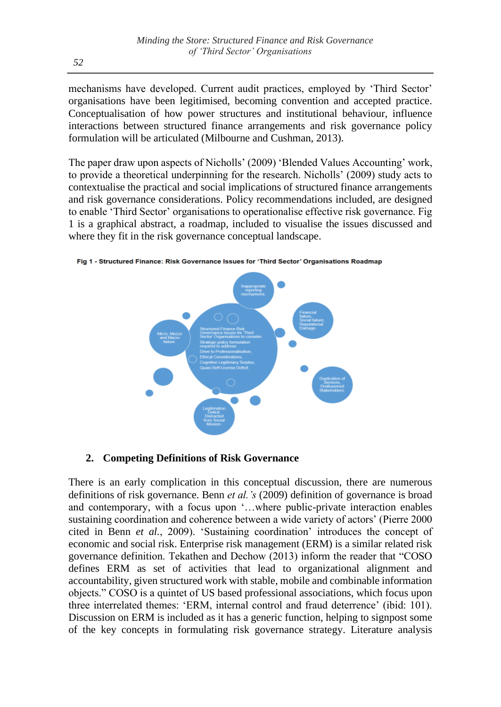mechanisms have developed. Current audit practices, employed by 'Third Sector' organisations have been legitimised, becoming convention and accepted practice. Conceptualisation of how power structures and institutional behaviour, influence interactions between structured finance arrangements and risk governance policy formulation will be articulated (Milbourne and Cushman, 2013).

The paper draw upon aspects of Nicholls' (2009) 'Blended Values Accounting' work, to provide a theoretical underpinning for the research. Nicholls' (2009) study acts to contextualise the practical and social implications of structured finance arrangements and risk governance considerations. Policy recommendations included, are designed to enable 'Third Sector' organisations to operationalise effective risk governance. Fig 1 is a graphical abstract, a roadmap, included to visualise the issues discussed and where they fit in the risk governance conceptual landscape.



Fig 1 - Structured Finance: Risk Governance Issues for 'Third Sector' Organisations Roadmap

## **2. Competing Definitions of Risk Governance**

There is an early complication in this conceptual discussion, there are numerous definitions of risk governance. Benn *et al.'s* (2009) definition of governance is broad and contemporary, with a focus upon '…where public-private interaction enables sustaining coordination and coherence between a wide variety of actors' (Pierre 2000 cited in Benn *et al.*, 2009). 'Sustaining coordination' introduces the concept of economic and social risk. Enterprise risk management (ERM) is a similar related risk governance definition. Tekathen and Dechow (2013) inform the reader that "COSO defines ERM as set of activities that lead to organizational alignment and accountability, given structured work with stable, mobile and combinable information objects." COSO is a quintet of US based professional associations, which focus upon three interrelated themes: 'ERM, internal control and fraud deterrence' (ibid: 101). Discussion on ERM is included as it has a generic function, helping to signpost some of the key concepts in formulating risk governance strategy. Literature analysis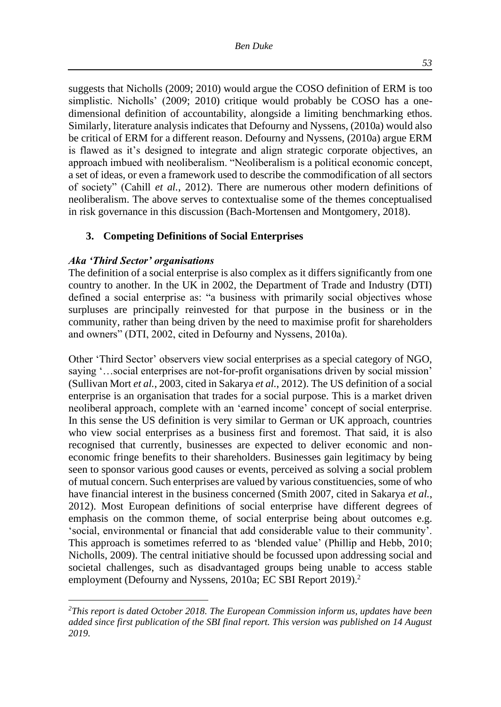suggests that Nicholls (2009; 2010) would argue the COSO definition of ERM is too simplistic. Nicholls' (2009; 2010) critique would probably be COSO has a onedimensional definition of accountability, alongside a limiting benchmarking ethos. Similarly, literature analysis indicates that Defourny and Nyssens, (2010a) would also be critical of ERM for a different reason. Defourny and Nyssens, (2010a) argue ERM is flawed as it's designed to integrate and align strategic corporate objectives, an approach imbued with neoliberalism. "Neoliberalism is a political economic concept, a set of ideas, or even a framework used to describe the commodification of all sectors of society" (Cahill *et al.*, 2012). There are numerous other modern definitions of neoliberalism. The above serves to contextualise some of the themes conceptualised in risk governance in this discussion (Bach-Mortensen and Montgomery, 2018).

#### **3. Competing Definitions of Social Enterprises**

#### *Aka 'Third Sector' organisations*

The definition of a social enterprise is also complex as it differs significantly from one country to another. In the UK in 2002, the Department of Trade and Industry (DTI) defined a social enterprise as: "a business with primarily social objectives whose surpluses are principally reinvested for that purpose in the business or in the community, rather than being driven by the need to maximise profit for shareholders and owners" (DTI, 2002, cited in Defourny and Nyssens, 2010a).

Other 'Third Sector' observers view social enterprises as a special category of NGO, saying '…social enterprises are not-for-profit organisations driven by social mission' (Sullivan Mort *et al.*, 2003, cited in Sakarya *et al.*, 2012). The US definition of a social enterprise is an organisation that trades for a social purpose. This is a market driven neoliberal approach, complete with an 'earned income' concept of social enterprise. In this sense the US definition is very similar to German or UK approach, countries who view social enterprises as a business first and foremost. That said, it is also recognised that currently, businesses are expected to deliver economic and noneconomic fringe benefits to their shareholders. Businesses gain legitimacy by being seen to sponsor various good causes or events, perceived as solving a social problem of mutual concern. Such enterprises are valued by various constituencies, some of who have financial interest in the business concerned (Smith 2007, cited in Sakarya *et al.*, 2012). Most European definitions of social enterprise have different degrees of emphasis on the common theme, of social enterprise being about outcomes e.g. 'social, environmental or financial that add considerable value to their community'. This approach is sometimes referred to as 'blended value' (Phillip and Hebb, 2010; Nicholls, 2009). The central initiative should be focussed upon addressing social and societal challenges, such as disadvantaged groups being unable to access stable employment (Defourny and Nyssens, 2010a; EC SBI Report 2019).<sup>2</sup>

*<sup>2</sup>This report is dated October 2018. The European Commission inform us, updates have been added since first publication of the SBI final report. This version was published on 14 August 2019.*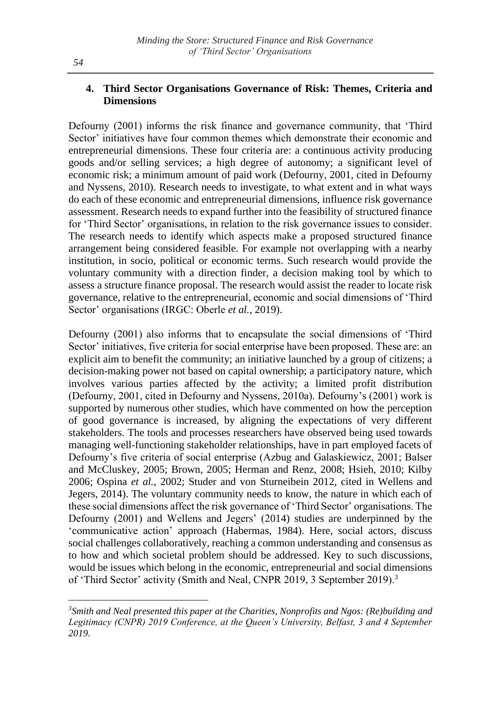## **4. Third Sector Organisations Governance of Risk: Themes, Criteria and Dimensions**

Defourny (2001) informs the risk finance and governance community, that 'Third Sector' initiatives have four common themes which demonstrate their economic and entrepreneurial dimensions. These four criteria are: a continuous activity producing goods and/or selling services; a high degree of autonomy; a significant level of economic risk; a minimum amount of paid work (Defourny, 2001, cited in Defourny and Nyssens, 2010). Research needs to investigate, to what extent and in what ways do each of these economic and entrepreneurial dimensions, influence risk governance assessment. Research needs to expand further into the feasibility of structured finance for 'Third Sector' organisations, in relation to the risk governance issues to consider. The research needs to identify which aspects make a proposed structured finance arrangement being considered feasible. For example not overlapping with a nearby institution, in socio, political or economic terms. Such research would provide the voluntary community with a direction finder, a decision making tool by which to assess a structure finance proposal. The research would assist the reader to locate risk governance, relative to the entrepreneurial, economic and social dimensions of 'Third Sector' organisations (IRGC: Oberle *et al.*, 2019).

Defourny (2001) also informs that to encapsulate the social dimensions of 'Third Sector' initiatives, five criteria for social enterprise have been proposed. These are: an explicit aim to benefit the community; an initiative launched by a group of citizens; a decision-making power not based on capital ownership; a participatory nature, which involves various parties affected by the activity; a limited profit distribution (Defourny, 2001, cited in Defourny and Nyssens, 2010a). Defourny's (2001) work is supported by numerous other studies, which have commented on how the perception of good governance is increased, by aligning the expectations of very different stakeholders. The tools and processes researchers have observed being used towards managing well-functioning stakeholder relationships, have in part employed facets of Defourny's five criteria of social enterprise (Azbug and Galaskiewicz, 2001; Balser and McCluskey, 2005; Brown, 2005; Herman and Renz, 2008; Hsieh, 2010; Kilby 2006; Ospina *et al.*, 2002; Studer and von Sturneibein 2012, cited in Wellens and Jegers, 2014). The voluntary community needs to know, the nature in which each of these social dimensions affect the risk governance of 'Third Sector' organisations. The Defourny (2001) and Wellens and Jegers' (2014) studies are underpinned by the 'communicative action' approach (Habermas, 1984). Here, social actors, discuss social challenges collaboratively, reaching a common understanding and consensus as to how and which societal problem should be addressed. Key to such discussions, would be issues which belong in the economic, entrepreneurial and social dimensions of 'Third Sector' activity (Smith and Neal, CNPR 2019, 3 September 2019).<sup>3</sup>

*<sup>3</sup>Smith and Neal presented this paper at the Charities, Nonprofits and Ngos: (Re)building and Legitimacy (CNPR) 2019 Conference, at the Queen's University, Belfast, 3 and 4 September 2019.*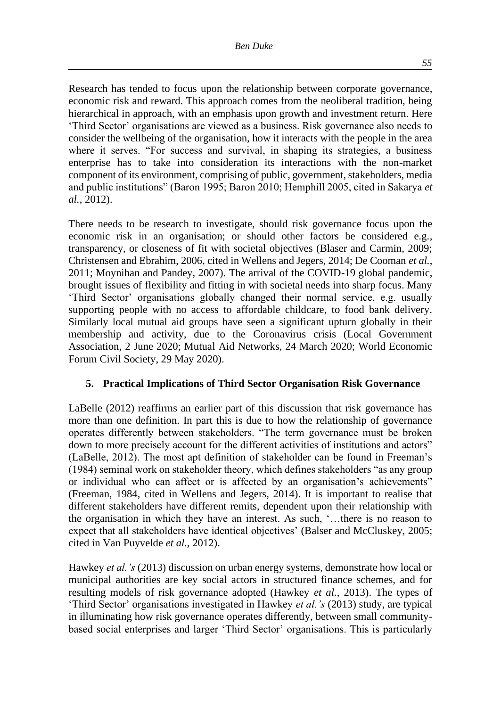Research has tended to focus upon the relationship between corporate governance, economic risk and reward. This approach comes from the neoliberal tradition, being hierarchical in approach, with an emphasis upon growth and investment return. Here 'Third Sector' organisations are viewed as a business. Risk governance also needs to consider the wellbeing of the organisation, how it interacts with the people in the area where it serves. "For success and survival, in shaping its strategies, a business enterprise has to take into consideration its interactions with the non-market component of its environment, comprising of public, government, stakeholders, media and public institutions" (Baron 1995; Baron 2010; Hemphill 2005, cited in Sakarya *et al.*, 2012).

There needs to be research to investigate, should risk governance focus upon the economic risk in an organisation; or should other factors be considered e.g., transparency, or closeness of fit with societal objectives (Blaser and Carmin, 2009; Christensen and Ebrahim, 2006, cited in Wellens and Jegers, 2014; De Cooman *et al.*, 2011; Moynihan and Pandey, 2007). The arrival of the COVID-19 global pandemic, brought issues of flexibility and fitting in with societal needs into sharp focus. Many 'Third Sector' organisations globally changed their normal service, e.g. usually supporting people with no access to affordable childcare, to food bank delivery. Similarly local mutual aid groups have seen a significant upturn globally in their membership and activity, due to the Coronavirus crisis (Local Government Association, 2 June 2020; Mutual Aid Networks, 24 March 2020; World Economic Forum Civil Society, 29 May 2020).

### **5. Practical Implications of Third Sector Organisation Risk Governance**

LaBelle (2012) reaffirms an earlier part of this discussion that risk governance has more than one definition. In part this is due to how the relationship of governance operates differently between stakeholders. "The term governance must be broken down to more precisely account for the different activities of institutions and actors" (LaBelle, 2012). The most apt definition of stakeholder can be found in Freeman's (1984) seminal work on stakeholder theory, which defines stakeholders "as any group or individual who can affect or is affected by an organisation's achievements" (Freeman, 1984, cited in Wellens and Jegers, 2014). It is important to realise that different stakeholders have different remits, dependent upon their relationship with the organisation in which they have an interest. As such, '…there is no reason to expect that all stakeholders have identical objectives' (Balser and McCluskey, 2005; cited in Van Puyvelde *et al.,* 2012).

Hawkey *et al.'s* (2013) discussion on urban energy systems, demonstrate how local or municipal authorities are key social actors in structured finance schemes, and for resulting models of risk governance adopted (Hawkey *et al.*, 2013). The types of 'Third Sector' organisations investigated in Hawkey *et al.'s* (2013) study, are typical in illuminating how risk governance operates differently, between small communitybased social enterprises and larger 'Third Sector' organisations. This is particularly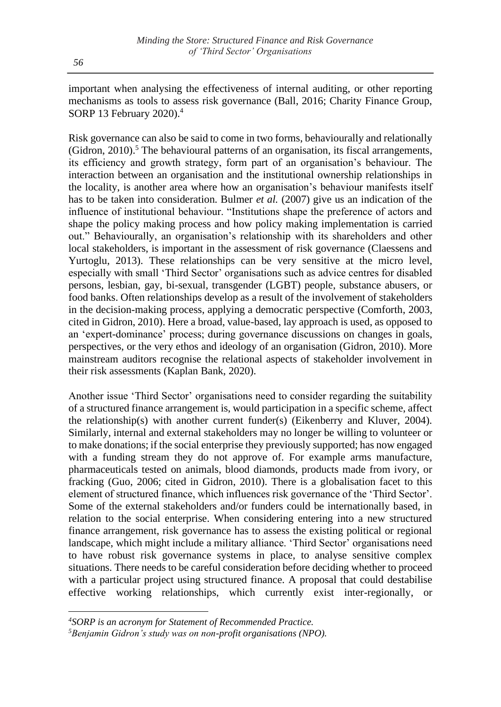important when analysing the effectiveness of internal auditing, or other reporting mechanisms as tools to assess risk governance (Ball, 2016; Charity Finance Group, SORP 13 February 2020).<sup>4</sup>

Risk governance can also be said to come in two forms, behaviourally and relationally  $(Gidron, 2010)$ .<sup>5</sup> The behavioural patterns of an organisation, its fiscal arrangements, its efficiency and growth strategy, form part of an organisation's behaviour. The interaction between an organisation and the institutional ownership relationships in the locality, is another area where how an organisation's behaviour manifests itself has to be taken into consideration. Bulmer *et al.* (2007) give us an indication of the influence of institutional behaviour. "Institutions shape the preference of actors and shape the policy making process and how policy making implementation is carried out." Behaviourally, an organisation's relationship with its shareholders and other local stakeholders, is important in the assessment of risk governance (Claessens and Yurtoglu, 2013). These relationships can be very sensitive at the micro level, especially with small 'Third Sector' organisations such as advice centres for disabled persons, lesbian, gay, bi-sexual, transgender (LGBT) people, substance abusers, or food banks. Often relationships develop as a result of the involvement of stakeholders in the decision-making process, applying a democratic perspective (Comforth, 2003, cited in Gidron, 2010). Here a broad, value-based, lay approach is used, as opposed to an 'expert-dominance' process; during governance discussions on changes in goals, perspectives, or the very ethos and ideology of an organisation (Gidron, 2010). More mainstream auditors recognise the relational aspects of stakeholder involvement in their risk assessments (Kaplan Bank, 2020).

Another issue 'Third Sector' organisations need to consider regarding the suitability of a structured finance arrangement is, would participation in a specific scheme, affect the relationship(s) with another current funder(s) (Eikenberry and Kluver, 2004). Similarly, internal and external stakeholders may no longer be willing to volunteer or to make donations; if the social enterprise they previously supported; has now engaged with a funding stream they do not approve of. For example arms manufacture, pharmaceuticals tested on animals, blood diamonds, products made from ivory, or fracking (Guo, 2006; cited in Gidron, 2010). There is a globalisation facet to this element of structured finance, which influences risk governance of the 'Third Sector'. Some of the external stakeholders and/or funders could be internationally based, in relation to the social enterprise. When considering entering into a new structured finance arrangement, risk governance has to assess the existing political or regional landscape, which might include a military alliance. 'Third Sector' organisations need to have robust risk governance systems in place, to analyse sensitive complex situations. There needs to be careful consideration before deciding whether to proceed with a particular project using structured finance. A proposal that could destabilise effective working relationships, which currently exist inter-regionally, or

*<sup>4</sup>SORP is an acronym for Statement of Recommended Practice.*

*<sup>5</sup>Benjamin Gidron's study was on non-profit organisations (NPO).*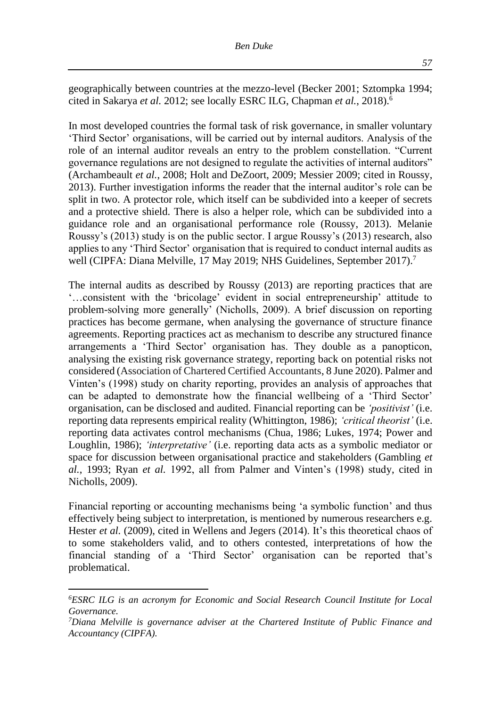geographically between countries at the mezzo-level (Becker 2001; Sztompka 1994; cited in Sakarya *et al.* 2012; see locally ESRC ILG, Chapman *et al.*, 2018).<sup>6</sup>

In most developed countries the formal task of risk governance, in smaller voluntary 'Third Sector' organisations, will be carried out by internal auditors. Analysis of the role of an internal auditor reveals an entry to the problem constellation. "Current governance regulations are not designed to regulate the activities of internal auditors" (Archambeault *et al.*, 2008; Holt and DeZoort, 2009; Messier 2009; cited in Roussy, 2013). Further investigation informs the reader that the internal auditor's role can be split in two. A protector role, which itself can be subdivided into a keeper of secrets and a protective shield. There is also a helper role, which can be subdivided into a guidance role and an organisational performance role (Roussy, 2013). Melanie Roussy's (2013) study is on the public sector. I argue Roussy's (2013) research, also applies to any 'Third Sector' organisation that is required to conduct internal audits as well (CIPFA: Diana Melville, 17 May 2019; NHS Guidelines, September 2017).<sup>7</sup>

The internal audits as described by Roussy (2013) are reporting practices that are '…consistent with the 'bricolage' evident in social entrepreneurship' attitude to problem-solving more generally' (Nicholls, 2009). A brief discussion on reporting practices has become germane, when analysing the governance of structure finance agreements. Reporting practices act as mechanism to describe any structured finance arrangements a 'Third Sector' organisation has. They double as a panopticon, analysing the existing risk governance strategy, reporting back on potential risks not considered (Association of Chartered Certified Accountants, 8 June 2020). Palmer and Vinten's (1998) study on charity reporting, provides an analysis of approaches that can be adapted to demonstrate how the financial wellbeing of a 'Third Sector' organisation, can be disclosed and audited. Financial reporting can be *'positivist'* (i.e. reporting data represents empirical reality (Whittington, 1986); *'critical theorist'* (i.e. reporting data activates control mechanisms (Chua, 1986; Lukes, 1974; Power and Loughlin, 1986); *'interpretative'* (i.e. reporting data acts as a symbolic mediator or space for discussion between organisational practice and stakeholders (Gambling *et al.*, 1993; Ryan *et al.* 1992, all from Palmer and Vinten's (1998) study, cited in Nicholls, 2009).

Financial reporting or accounting mechanisms being 'a symbolic function' and thus effectively being subject to interpretation, is mentioned by numerous researchers e.g. Hester *et al.* (2009), cited in Wellens and Jegers (2014). It's this theoretical chaos of to some stakeholders valid, and to others contested, interpretations of how the financial standing of a 'Third Sector' organisation can be reported that's problematical.

*<sup>6</sup>ESRC ILG is an acronym for Economic and Social Research Council Institute for Local Governance.*

*<sup>7</sup>Diana Melville is governance adviser at the Chartered Institute of Public Finance and Accountancy (CIPFA).*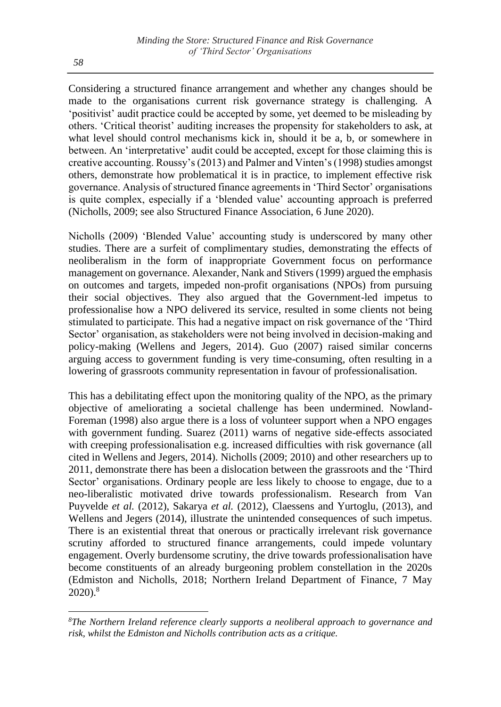Considering a structured finance arrangement and whether any changes should be made to the organisations current risk governance strategy is challenging. A 'positivist' audit practice could be accepted by some, yet deemed to be misleading by others. 'Critical theorist' auditing increases the propensity for stakeholders to ask, at what level should control mechanisms kick in, should it be a, b, or somewhere in between. An 'interpretative' audit could be accepted, except for those claiming this is creative accounting. Roussy's (2013) and Palmer and Vinten's (1998) studies amongst others, demonstrate how problematical it is in practice, to implement effective risk governance. Analysis of structured finance agreements in 'Third Sector' organisations is quite complex, especially if a 'blended value' accounting approach is preferred (Nicholls, 2009; see also Structured Finance Association, 6 June 2020).

Nicholls (2009) 'Blended Value' accounting study is underscored by many other studies. There are a surfeit of complimentary studies, demonstrating the effects of neoliberalism in the form of inappropriate Government focus on performance management on governance. Alexander, Nank and Stivers (1999) argued the emphasis on outcomes and targets, impeded non-profit organisations (NPOs) from pursuing their social objectives. They also argued that the Government-led impetus to professionalise how a NPO delivered its service, resulted in some clients not being stimulated to participate. This had a negative impact on risk governance of the 'Third Sector' organisation, as stakeholders were not being involved in decision-making and policy-making (Wellens and Jegers, 2014). Guo (2007) raised similar concerns arguing access to government funding is very time-consuming, often resulting in a lowering of grassroots community representation in favour of professionalisation.

This has a debilitating effect upon the monitoring quality of the NPO, as the primary objective of ameliorating a societal challenge has been undermined. Nowland-Foreman (1998) also argue there is a loss of volunteer support when a NPO engages with government funding. Suarez (2011) warns of negative side-effects associated with creeping professionalisation e.g. increased difficulties with risk governance (all cited in Wellens and Jegers, 2014). Nicholls (2009; 2010) and other researchers up to 2011, demonstrate there has been a dislocation between the grassroots and the 'Third Sector' organisations. Ordinary people are less likely to choose to engage, due to a neo-liberalistic motivated drive towards professionalism. Research from Van Puyvelde *et al.* (2012), Sakarya *et al.* (2012), Claessens and Yurtoglu, (2013), and Wellens and Jegers (2014), illustrate the unintended consequences of such impetus. There is an existential threat that onerous or practically irrelevant risk governance scrutiny afforded to structured finance arrangements, could impede voluntary engagement. Overly burdensome scrutiny, the drive towards professionalisation have become constituents of an already burgeoning problem constellation in the 2020s (Edmiston and Nicholls, 2018; Northern Ireland Department of Finance, 7 May 2020).<sup>8</sup>

*<sup>8</sup>The Northern Ireland reference clearly supports a neoliberal approach to governance and risk, whilst the Edmiston and Nicholls contribution acts as a critique.*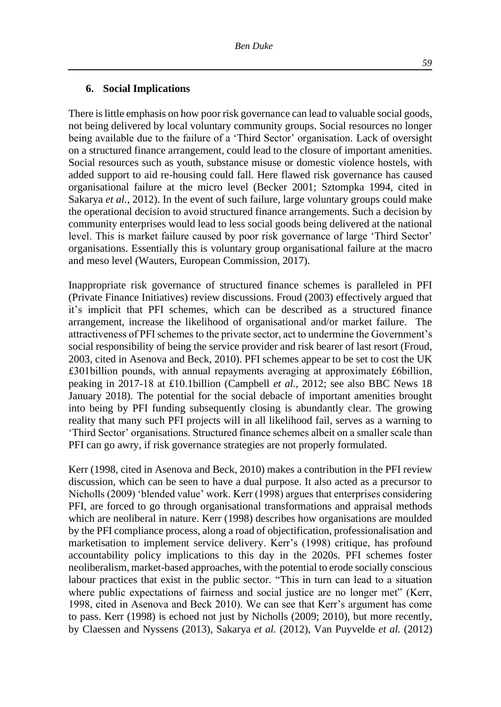#### **6. Social Implications**

There is little emphasis on how poor risk governance can lead to valuable social goods, not being delivered by local voluntary community groups. Social resources no longer being available due to the failure of a 'Third Sector' organisation. Lack of oversight on a structured finance arrangement, could lead to the closure of important amenities. Social resources such as youth, substance misuse or domestic violence hostels, with added support to aid re-housing could fall. Here flawed risk governance has caused organisational failure at the micro level (Becker 2001; Sztompka 1994, cited in Sakarya *et al.*, 2012). In the event of such failure, large voluntary groups could make the operational decision to avoid structured finance arrangements. Such a decision by community enterprises would lead to less social goods being delivered at the national level. This is market failure caused by poor risk governance of large 'Third Sector' organisations. Essentially this is voluntary group organisational failure at the macro and meso level (Wauters, European Commission, 2017).

Inappropriate risk governance of structured finance schemes is paralleled in PFI (Private Finance Initiatives) review discussions. Froud (2003) effectively argued that it's implicit that PFI schemes, which can be described as a structured finance arrangement, increase the likelihood of organisational and/or market failure. The attractiveness of PFI schemes to the private sector, act to undermine the Government's social responsibility of being the service provider and risk bearer of last resort (Froud, 2003, cited in Asenova and Beck, 2010). PFI schemes appear to be set to cost the UK £301billion pounds, with annual repayments averaging at approximately £6billion, peaking in 2017-18 at £10.1billion (Campbell *et al.*, 2012; see also BBC News 18 January 2018). The potential for the social debacle of important amenities brought into being by PFI funding subsequently closing is abundantly clear. The growing reality that many such PFI projects will in all likelihood fail, serves as a warning to 'Third Sector' organisations. Structured finance schemes albeit on a smaller scale than PFI can go awry, if risk governance strategies are not properly formulated.

Kerr (1998, cited in Asenova and Beck, 2010) makes a contribution in the PFI review discussion, which can be seen to have a dual purpose. It also acted as a precursor to Nicholls (2009) 'blended value' work. Kerr (1998) argues that enterprises considering PFI, are forced to go through organisational transformations and appraisal methods which are neoliberal in nature. Kerr (1998) describes how organisations are moulded by the PFI compliance process, along a road of objectification, professionalisation and marketisation to implement service delivery. Kerr's (1998) critique, has profound accountability policy implications to this day in the 2020s. PFI schemes foster neoliberalism, market-based approaches, with the potential to erode socially conscious labour practices that exist in the public sector. "This in turn can lead to a situation where public expectations of fairness and social justice are no longer met" (Kerr, 1998, cited in Asenova and Beck 2010). We can see that Kerr's argument has come to pass. Kerr (1998) is echoed not just by Nicholls (2009; 2010), but more recently, by Claessen and Nyssens (2013), Sakarya *et al.* (2012), Van Puyvelde *et al.* (2012)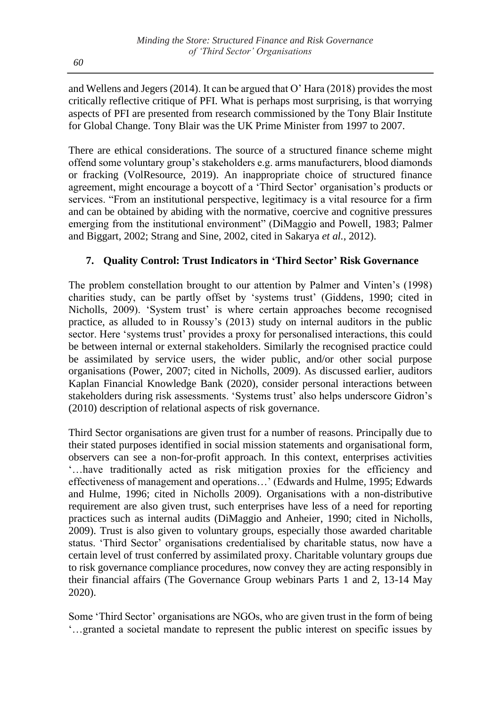and Wellens and Jegers (2014). It can be argued that O' Hara (2018) provides the most critically reflective critique of PFI. What is perhaps most surprising, is that worrying aspects of PFI are presented from research commissioned by the Tony Blair Institute for Global Change. Tony Blair was the UK Prime Minister from 1997 to 2007.

There are ethical considerations. The source of a structured finance scheme might offend some voluntary group's stakeholders e.g. arms manufacturers, blood diamonds or fracking (VolResource, 2019). An inappropriate choice of structured finance agreement, might encourage a boycott of a 'Third Sector' organisation's products or services. "From an institutional perspective, legitimacy is a vital resource for a firm and can be obtained by abiding with the normative, coercive and cognitive pressures emerging from the institutional environment" (DiMaggio and Powell, 1983; Palmer and Biggart, 2002; Strang and Sine, 2002, cited in Sakarya *et al.*, 2012).

# **7. Quality Control: Trust Indicators in 'Third Sector' Risk Governance**

The problem constellation brought to our attention by Palmer and Vinten's (1998) charities study, can be partly offset by 'systems trust' (Giddens, 1990; cited in Nicholls, 2009). 'System trust' is where certain approaches become recognised practice, as alluded to in Roussy's (2013) study on internal auditors in the public sector. Here 'systems trust' provides a proxy for personalised interactions, this could be between internal or external stakeholders. Similarly the recognised practice could be assimilated by service users, the wider public, and/or other social purpose organisations (Power, 2007; cited in Nicholls, 2009). As discussed earlier, auditors Kaplan Financial Knowledge Bank (2020), consider personal interactions between stakeholders during risk assessments. 'Systems trust' also helps underscore Gidron's (2010) description of relational aspects of risk governance.

Third Sector organisations are given trust for a number of reasons. Principally due to their stated purposes identified in social mission statements and organisational form, observers can see a non-for-profit approach. In this context, enterprises activities '…have traditionally acted as risk mitigation proxies for the efficiency and effectiveness of management and operations…' (Edwards and Hulme, 1995; Edwards and Hulme, 1996; cited in Nicholls 2009). Organisations with a non-distributive requirement are also given trust, such enterprises have less of a need for reporting practices such as internal audits (DiMaggio and Anheier, 1990; cited in Nicholls, 2009). Trust is also given to voluntary groups, especially those awarded charitable status. 'Third Sector' organisations credentialised by charitable status, now have a certain level of trust conferred by assimilated proxy. Charitable voluntary groups due to risk governance compliance procedures, now convey they are acting responsibly in their financial affairs (The Governance Group webinars Parts 1 and 2, 13-14 May 2020).

Some 'Third Sector' organisations are NGOs, who are given trust in the form of being '…granted a societal mandate to represent the public interest on specific issues by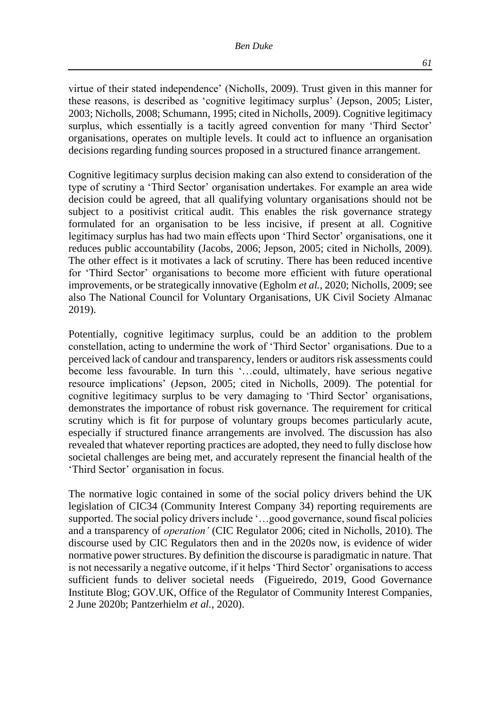virtue of their stated independence' (Nicholls, 2009). Trust given in this manner for these reasons, is described as 'cognitive legitimacy surplus' (Jepson, 2005; Lister, 2003; Nicholls, 2008; Schumann, 1995; cited in Nicholls, 2009). Cognitive legitimacy surplus, which essentially is a tacitly agreed convention for many 'Third Sector' organisations, operates on multiple levels. It could act to influence an organisation decisions regarding funding sources proposed in a structured finance arrangement.

Cognitive legitimacy surplus decision making can also extend to consideration of the type of scrutiny a 'Third Sector' organisation undertakes. For example an area wide decision could be agreed, that all qualifying voluntary organisations should not be subject to a positivist critical audit. This enables the risk governance strategy formulated for an organisation to be less incisive, if present at all. Cognitive legitimacy surplus has had two main effects upon 'Third Sector' organisations, one it reduces public accountability (Jacobs, 2006; Jepson, 2005; cited in Nicholls, 2009). The other effect is it motivates a lack of scrutiny. There has been reduced incentive for 'Third Sector' organisations to become more efficient with future operational improvements, or be strategically innovative (Egholm *et al.*, 2020; Nicholls, 2009; see also The National Council for Voluntary Organisations, UK Civil Society Almanac 2019).

Potentially, cognitive legitimacy surplus, could be an addition to the problem constellation, acting to undermine the work of 'Third Sector' organisations. Due to a perceived lack of candour and transparency, lenders or auditors risk assessments could become less favourable. In turn this '…could, ultimately, have serious negative resource implications' (Jepson, 2005; cited in Nicholls, 2009). The potential for cognitive legitimacy surplus to be very damaging to 'Third Sector' organisations, demonstrates the importance of robust risk governance. The requirement for critical scrutiny which is fit for purpose of voluntary groups becomes particularly acute, especially if structured finance arrangements are involved. The discussion has also revealed that whatever reporting practices are adopted, they need to fully disclose how societal challenges are being met, and accurately represent the financial health of the 'Third Sector' organisation in focus.

The normative logic contained in some of the social policy drivers behind the UK legislation of CIC34 (Community Interest Company 34) reporting requirements are supported. The social policy drivers include '…good governance, sound fiscal policies and a transparency of *operation'* (CIC Regulator 2006; cited in Nicholls, 2010). The discourse used by CIC Regulators then and in the 2020s now, is evidence of wider normative power structures. By definition the discourse is paradigmatic in nature. That is not necessarily a negative outcome, if it helps 'Third Sector' organisations to access sufficient funds to deliver societal needs (Figueiredo, 2019, Good Governance Institute Blog; GOV.UK, Office of the Regulator of Community Interest Companies, 2 June 2020b; Pantzerhielm *et al.*, 2020).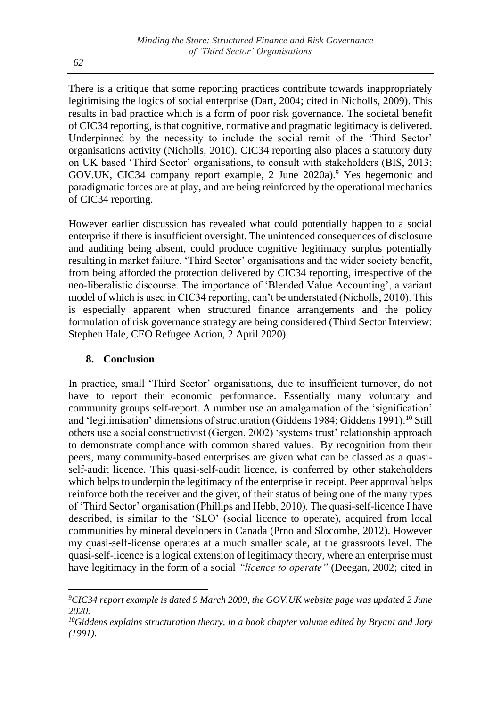There is a critique that some reporting practices contribute towards inappropriately legitimising the logics of social enterprise (Dart, 2004; cited in Nicholls, 2009). This results in bad practice which is a form of poor risk governance. The societal benefit of CIC34 reporting, is that cognitive, normative and pragmatic legitimacy is delivered. Underpinned by the necessity to include the social remit of the 'Third Sector' organisations activity (Nicholls, 2010). CIC34 reporting also places a statutory duty on UK based 'Third Sector' organisations, to consult with stakeholders (BIS, 2013; GOV.UK, CIC34 company report example, 2 June 2020a).<sup>9</sup> Yes hegemonic and paradigmatic forces are at play, and are being reinforced by the operational mechanics of CIC34 reporting.

However earlier discussion has revealed what could potentially happen to a social enterprise if there is insufficient oversight. The unintended consequences of disclosure and auditing being absent, could produce cognitive legitimacy surplus potentially resulting in market failure. 'Third Sector' organisations and the wider society benefit, from being afforded the protection delivered by CIC34 reporting, irrespective of the neo-liberalistic discourse. The importance of 'Blended Value Accounting', a variant model of which is used in CIC34 reporting, can't be understated (Nicholls, 2010). This is especially apparent when structured finance arrangements and the policy formulation of risk governance strategy are being considered (Third Sector Interview: Stephen Hale, CEO Refugee Action, 2 April 2020).

## **8. Conclusion**

In practice, small 'Third Sector' organisations, due to insufficient turnover, do not have to report their economic performance. Essentially many voluntary and community groups self-report. A number use an amalgamation of the 'signification' and 'legitimisation' dimensions of structuration (Giddens 1984; Giddens 1991).<sup>10</sup> Still others use a social constructivist (Gergen, 2002) 'systems trust' relationship approach to demonstrate compliance with common shared values. By recognition from their peers, many community-based enterprises are given what can be classed as a quasiself-audit licence. This quasi-self-audit licence, is conferred by other stakeholders which helps to underpin the legitimacy of the enterprise in receipt. Peer approval helps reinforce both the receiver and the giver, of their status of being one of the many types of 'Third Sector' organisation (Phillips and Hebb, 2010). The quasi-self-licence I have described, is similar to the 'SLO' (social licence to operate), acquired from local communities by mineral developers in Canada (Prno and Slocombe, 2012). However my quasi-self-license operates at a much smaller scale, at the grassroots level. The quasi-self-licence is a logical extension of legitimacy theory, where an enterprise must have legitimacy in the form of a social *"licence to operate"* (Deegan, 2002; cited in

*<sup>9</sup>CIC34 report example is dated 9 March 2009, the GOV.UK website page was updated 2 June 2020.*

*<sup>10</sup>Giddens explains structuration theory, in a book chapter volume edited by Bryant and Jary (1991).*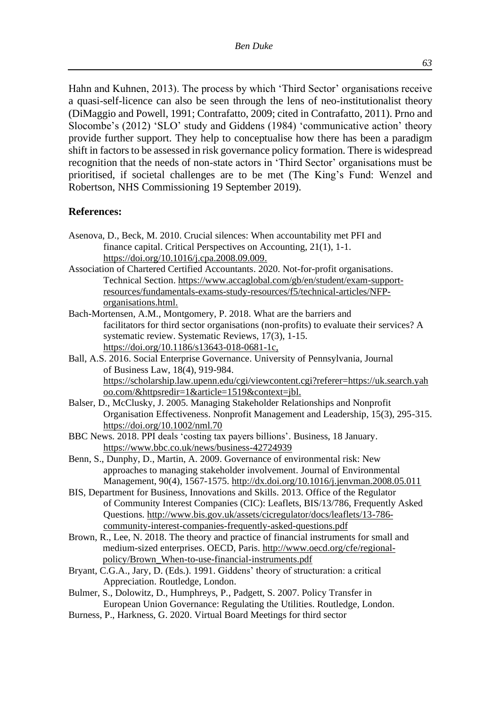Hahn and Kuhnen, 2013). The process by which 'Third Sector' organisations receive a quasi-self-licence can also be seen through the lens of neo-institutionalist theory (DiMaggio and Powell, 1991; Contrafatto, 2009; cited in Contrafatto, 2011). Prno and Slocombe's (2012) 'SLO' study and Giddens (1984) 'communicative action' theory provide further support. They help to conceptualise how there has been a paradigm shift in factors to be assessed in risk governance policy formation. There is widespread recognition that the needs of non-state actors in 'Third Sector' organisations must be prioritised, if societal challenges are to be met (The King's Fund: Wenzel and Robertson, NHS Commissioning 19 September 2019).

#### **References:**

- Asenova, D., Beck, M. 2010. Crucial silences: When accountability met PFI and finance capital. Critical Perspectives on Accounting, 21(1), 1-1. [https://doi.org/10.1016/j.cpa.2008.09.009.](https://doi.org/10.1016/j.cpa.2008.09.009)
- Association of Chartered Certified Accountants. 2020. Not-for-profit organisations. Technical Section. [https://www.accaglobal.com/gb/en/student/exam-support](https://www.accaglobal.com/gb/en/student/exam-support-resources/fundamentals-exams-study-resources/f5/technical-articles/NFP-organisations.html)[resources/fundamentals-exams-study-resources/f5/technical-articles/NFP](https://www.accaglobal.com/gb/en/student/exam-support-resources/fundamentals-exams-study-resources/f5/technical-articles/NFP-organisations.html)[organisations.html.](https://www.accaglobal.com/gb/en/student/exam-support-resources/fundamentals-exams-study-resources/f5/technical-articles/NFP-organisations.html)
- Bach-Mortensen, A.M., Montgomery, P. 2018. What are the barriers and facilitators for third sector organisations (non-profits) to evaluate their services? A systematic review. Systematic Reviews, 17(3), 1-15. [https://doi.org/10.1186/s13643-018-0681-1c](https://doi.org/10.1186/s13643-018-0681-1),
- Ball, A.S. 2016. Social Enterprise Governance. University of Pennsylvania, Journal of Business Law, 18(4), 919-984. [https://scholarship.law.upenn.edu/cgi/viewcontent.cgi?referer=https://uk.search.yah](https://scholarship.law.upenn.edu/cgi/viewcontent.cgi?referer=https://uk.search.yahoo.com/&httpsredir=1&article=1519&context=jbl) [oo.com/&httpsredir=1&article=1519&context=jbl.](https://scholarship.law.upenn.edu/cgi/viewcontent.cgi?referer=https://uk.search.yahoo.com/&httpsredir=1&article=1519&context=jbl)
- Balser, D., McClusky, J. 2005. Managing Stakeholder Relationships and Nonprofit Organisation Effectiveness. Nonprofit Management and Leadership, 15(3), 295-315. <https://doi.org/10.1002/nml.70>
- BBC News. 2018. PPI deals 'costing tax payers billions'. Business, 18 January. <https://www.bbc.co.uk/news/business-42724939>
- Benn, S., Dunphy, D., Martin, A. 2009. Governance of environmental risk: New approaches to managing stakeholder involvement. Journal of Environmental Management, 90(4), 1567-1575. <http://dx.doi.org/10.1016/j.jenvman.2008.05.011>
- BIS, Department for Business, Innovations and Skills. 2013. Office of the Regulator of Community Interest Companies (CIC): Leaflets, BIS/13/786, Frequently Asked Questions. [http://www.bis.gov.uk/assets/cicregulator/docs/leaflets/13-786](http://www.bis.gov.uk/assets/cicregulator/docs/leaflets/13-786-community-interest-companies-frequently-asked-questions.pdf) [community-interest-companies-frequently-asked-questions.pdf](http://www.bis.gov.uk/assets/cicregulator/docs/leaflets/13-786-community-interest-companies-frequently-asked-questions.pdf)
- Brown, R., Lee, N. 2018. The theory and practice of financial instruments for small and medium-sized enterprises. OECD, Paris. [http://www.oecd.org/cfe/regional](http://www.oecd.org/cfe/regional-policy/Brown_When-to-use-financial-instruments.pdf)[policy/Brown\\_When-to-use-financial-instruments.pdf](http://www.oecd.org/cfe/regional-policy/Brown_When-to-use-financial-instruments.pdf)
- Bryant, C.G.A., Jary, D. (Eds.). 1991. Giddens' theory of structuration: a critical Appreciation. Routledge, London.
- Bulmer, S., Dolowitz, D., Humphreys, P., Padgett, S. 2007. Policy Transfer in European Union Governance: Regulating the Utilities. Routledge, London.
- Burness, P., Harkness, G. 2020. Virtual Board Meetings for third sector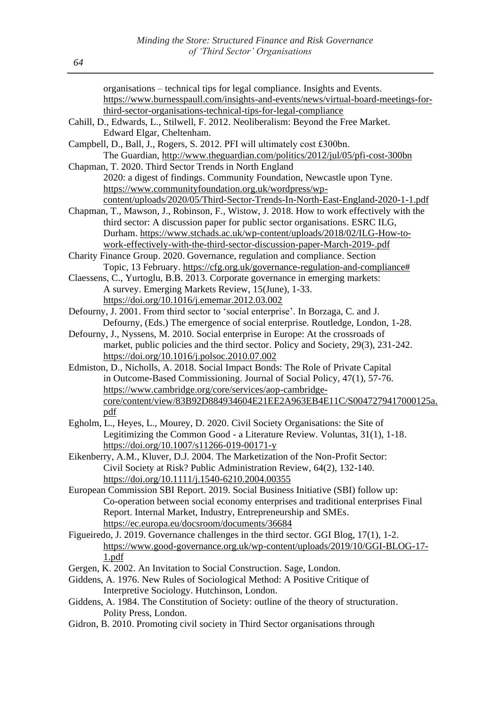| organisations – technical tips for legal compliance. Insights and Events.                |
|------------------------------------------------------------------------------------------|
| https://www.burnesspaull.com/insights-and-events/news/virtual-board-meetings-for-        |
| third-sector-organisations-technical-tips-for-legal-compliance                           |
| Cahill, D., Edwards, L., Stilwell, F. 2012. Neoliberalism: Beyond the Free Market.       |
| Edward Elgar, Cheltenham.                                                                |
| Campbell, D., Ball, J., Rogers, S. 2012. PFI will ultimately cost £300bn.                |
| The Guardian, http://www.theguardian.com/politics/2012/jul/05/pfi-cost-300bn             |
| Chapman, T. 2020. Third Sector Trends in North England                                   |
| 2020: a digest of findings. Community Foundation, Newcastle upon Tyne.                   |
| https://www.communityfoundation.org.uk/wordpress/wp-                                     |
| content/uploads/2020/05/Third-Sector-Trends-In-North-East-England-2020-1-1.pdf           |
| Chapman, T., Mawson, J., Robinson, F., Wistow, J. 2018. How to work effectively with the |
| third sector: A discussion paper for public sector organisations. ESRC ILG,              |
| Durham. https://www.stchads.ac.uk/wp-content/uploads/2018/02/ILG-How-to-                 |
| work-effectively-with-the-third-sector-discussion-paper-March-2019-.pdf                  |
| Charity Finance Group. 2020. Governance, regulation and compliance. Section              |
| Topic, 13 February. https://cfg.org.uk/governance-regulation-and-compliance#             |
| Claessens, C., Yurtoglu, B.B. 2013. Corporate governance in emerging markets:            |
| A survey. Emerging Markets Review, 15(June), 1-33.                                       |
| https://doi.org/10.1016/j.ememar.2012.03.002                                             |
| Defourny, J. 2001. From third sector to 'social enterprise'. In Borzaga, C. and J.       |
| Defourny, (Eds.) The emergence of social enterprise. Routledge, London, 1-28.            |
| Defourny, J., Nyssens, M. 2010. Social enterprise in Europe: At the crossroads of        |
| market, public policies and the third sector. Policy and Society, 29(3), 231-242.        |
| https://doi.org/10.1016/j.polsoc.2010.07.002                                             |
| Edmiston, D., Nicholls, A. 2018. Social Impact Bonds: The Role of Private Capital        |
| in Outcome-Based Commissioning. Journal of Social Policy, 47(1), 57-76.                  |
| https://www.cambridge.org/core/services/aop-cambridge-                                   |
| core/content/view/83B92D884934604E21EE2A963EB4E11C/S0047279417000125a.                   |
| pdf                                                                                      |
| Egholm, L., Heyes, L., Mourey, D. 2020. Civil Society Organisations: the Site of         |
| Legitimizing the Common Good - a Literature Review. Voluntas, 31(1), 1-18.               |
| https://doi.org/10.1007/s11266-019-00171-y                                               |
| Eikenberry, A.M., Kluver, D.J. 2004. The Marketization of the Non-Profit Sector:         |
| Civil Society at Risk? Public Administration Review, 64(2), 132-140.                     |
| https://doi.org/10.1111/j.1540-6210.2004.00355                                           |
| European Commission SBI Report. 2019. Social Business Initiative (SBI) follow up:        |
| Co-operation between social economy enterprises and traditional enterprises Final        |
| Report. Internal Market, Industry, Entrepreneurship and SMEs.                            |
| https://ec.europa.eu/docsroom/documents/36684                                            |
| Figueiredo, J. 2019. Governance challenges in the third sector. GGI Blog, 17(1), 1-2.    |
| https://www.good-governance.org.uk/wp-content/uploads/2019/10/GGI-BLOG-17-               |
| 1.pdf                                                                                    |
| Gergen, K. 2002. An Invitation to Social Construction. Sage, London.                     |
| Giddens, A. 1976. New Rules of Sociological Method: A Positive Critique of               |
| Interpretive Sociology. Hutchinson, London.                                              |
| Giddens, A. 1984. The Constitution of Society: outline of the theory of structuration.   |
| Polity Press, London.                                                                    |
| Gidron, B. 2010. Promoting civil society in Third Sector organisations through           |
|                                                                                          |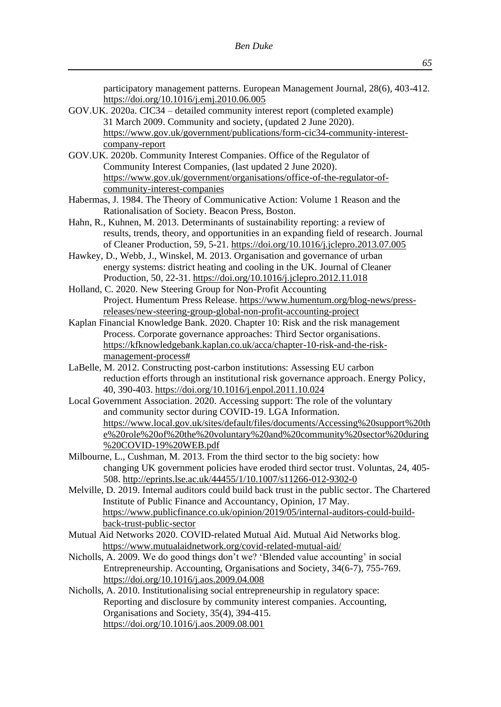participatory management patterns. European Management Journal, 28(6), 403-412. <https://doi.org/10.1016/j.emj.2010.06.005>

- GOV.UK. 2020a. CIC34 detailed community interest report (completed example) 31 March 2009. Community and society, (updated 2 June 2020). [https://www.gov.uk/government/publications/form-cic34-community-interest](https://www.gov.uk/government/publications/form-cic34-community-interest-company-report)[company-report](https://www.gov.uk/government/publications/form-cic34-community-interest-company-report)
- GOV.UK. 2020b. Community Interest Companies. Office of the Regulator of Community Interest Companies, (last updated 2 June 2020). [https://www.gov.uk/government/organisations/office-of-the-regulator-of](https://www.gov.uk/government/organisations/office-of-the-regulator-of-community-interest-companies)[community-interest-companies](https://www.gov.uk/government/organisations/office-of-the-regulator-of-community-interest-companies)
- Habermas, J. 1984. The Theory of Communicative Action: Volume 1 Reason and the Rationalisation of Society. Beacon Press, Boston.
- Hahn, R., Kuhnen, M. 2013. Determinants of sustainability reporting: a review of results, trends, theory, and opportunities in an expanding field of research. Journal of Cleaner Production, 59, 5-21. <https://doi.org/10.1016/j.jclepro.2013.07.005>
- Hawkey, D., Webb, J., Winskel, M. 2013. Organisation and governance of urban energy systems: district heating and cooling in the UK. Journal of Cleaner Production, 50, 22-31. <https://doi.org/10.1016/j.jclepro.2012.11.018>
- Holland, C. 2020. New Steering Group for Non-Profit Accounting Project. Humentum Press Release. [https://www.humentum.org/blog-news/press](https://www.humentum.org/blog-news/press-releases/new-steering-group-global-non-profit-accounting-project)[releases/new-steering-group-global-non-profit-accounting-project](https://www.humentum.org/blog-news/press-releases/new-steering-group-global-non-profit-accounting-project)
- Kaplan Financial Knowledge Bank. 2020. Chapter 10: Risk and the risk management Process. Corporate governance approaches: Third Sector organisations. [https://kfknowledgebank.kaplan.co.uk/acca/chapter-10-risk-and-the-risk](https://kfknowledgebank.kaplan.co.uk/acca/chapter-10-risk-and-the-risk-management-process)[management-process#](https://kfknowledgebank.kaplan.co.uk/acca/chapter-10-risk-and-the-risk-management-process)
- LaBelle, M. 2012. Constructing post-carbon institutions: Assessing EU carbon reduction efforts through an institutional risk governance approach. Energy Policy, 40, 390-403. <https://doi.org/10.1016/j.enpol.2011.10.024>
- Local Government Association. 2020. Accessing support: The role of the voluntary and community sector during COVID-19. LGA Information. [https://www.local.gov.uk/sites/default/files/documents/Accessing%20support%20th](https://www.local.gov.uk/sites/default/files/documents/Accessing%20support%20the%20role%20of%20the%20voluntary%20and%20community%20sector%20during%20COVID-19%20WEB.pdf) [e%20role%20of%20the%20voluntary%20and%20community%20sector%20during](https://www.local.gov.uk/sites/default/files/documents/Accessing%20support%20the%20role%20of%20the%20voluntary%20and%20community%20sector%20during%20COVID-19%20WEB.pdf) [%20COVID-19%20WEB.pdf](https://www.local.gov.uk/sites/default/files/documents/Accessing%20support%20the%20role%20of%20the%20voluntary%20and%20community%20sector%20during%20COVID-19%20WEB.pdf)
- Milbourne, L., Cushman, M. 2013. From the third sector to the big society: how changing UK government policies have eroded third sector trust. Voluntas, 24, 405- 508. <http://eprints.lse.ac.uk/44455/1/10.1007/s11266-012-9302-0>
- Melville, D. 2019. Internal auditors could build back trust in the public sector. The Chartered Institute of Public Finance and Accountancy, Opinion, 17 May. [https://www.publicfinance.co.uk/opinion/2019/05/internal-auditors-could-build](https://www.publicfinance.co.uk/opinion/2019/05/internal-auditors-could-build-back-trust-public-sector)[back-trust-public-sector](https://www.publicfinance.co.uk/opinion/2019/05/internal-auditors-could-build-back-trust-public-sector)
- Mutual Aid Networks 2020. COVID-related Mutual Aid. Mutual Aid Networks blog. <https://www.mutualaidnetwork.org/covid-related-mutual-aid/>
- Nicholls, A. 2009. We do good things don't we? 'Blended value accounting' in social Entrepreneurship. Accounting, Organisations and Society, 34(6-7), 755-769. <https://doi.org/10.1016/j.aos.2009.04.008>
- Nicholls, A. 2010. Institutionalising social entrepreneurship in regulatory space: Reporting and disclosure by community interest companies. Accounting, Organisations and Society, 35(4), 394-415. <https://doi.org/10.1016/j.aos.2009.08.001>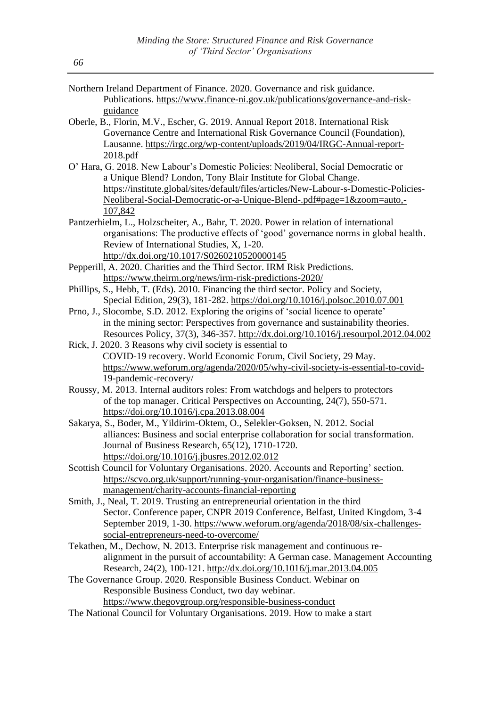- Northern Ireland Department of Finance. 2020. Governance and risk guidance. Publications. [https://www.finance-ni.gov.uk/publications/governance-and-risk](https://www.finance-ni.gov.uk/publications/governance-and-risk-guidance)[guidance](https://www.finance-ni.gov.uk/publications/governance-and-risk-guidance)
- Oberle, B., Florin, M.V., Escher, G. 2019. Annual Report 2018. International Risk Governance Centre and International Risk Governance Council (Foundation), Lausanne. [https://irgc.org/wp-content/uploads/2019/04/IRGC-Annual-report-](https://irgc.org/wp-content/uploads/2019/04/IRGC-Annual-report-2018.pdf)[2018.pdf](https://irgc.org/wp-content/uploads/2019/04/IRGC-Annual-report-2018.pdf)
- O' Hara, G. 2018. New Labour's Domestic Policies: Neoliberal, Social Democratic or a Unique Blend? London, Tony Blair Institute for Global Change. [https://institute.global/sites/default/files/articles/New-Labour-s-Domestic-Policies-](https://institute.global/sites/default/files/articles/New-Labour-s-Domestic-Policies-Neoliberal-Social-Democratic-or-a-Unique-Blend-.pdf#page=1&zoom=auto,-107,842)[Neoliberal-Social-Democratic-or-a-Unique-Blend-.pdf#page=1&zoom=auto,-](https://institute.global/sites/default/files/articles/New-Labour-s-Domestic-Policies-Neoliberal-Social-Democratic-or-a-Unique-Blend-.pdf#page=1&zoom=auto,-107,842) [107,842](https://institute.global/sites/default/files/articles/New-Labour-s-Domestic-Policies-Neoliberal-Social-Democratic-or-a-Unique-Blend-.pdf#page=1&zoom=auto,-107,842)
- Pantzerhielm, L., Holzscheiter, A., Bahr, T. 2020. Power in relation of international organisations: The productive effects of 'good' governance norms in global health. Review of International Studies, X, 1-20. <http://dx.doi.org/10.1017/S0260210520000145>
- Pepperill, A. 2020. Charities and the Third Sector. IRM Risk Predictions. <https://www.theirm.org/news/irm-risk-predictions-2020/>
- Phillips, S., Hebb, T. (Eds). 2010. Financing the third sector. Policy and Society, Special Edition, 29(3), 181-282. <https://doi.org/10.1016/j.polsoc.2010.07.001>
- Prno, J., Slocombe, S.D. 2012. Exploring the origins of 'social licence to operate' in the mining sector: Perspectives from governance and sustainability theories. Resources Policy, 37(3), 346-357. <http://dx.doi.org/10.1016/j.resourpol.2012.04.002>
- Rick, J. 2020. 3 Reasons why civil society is essential to COVID-19 recovery. World Economic Forum, Civil Society, 29 May. [https://www.weforum.org/agenda/2020/05/why-civil-society-is-essential-to-covid-](https://www.weforum.org/agenda/2020/05/why-civil-society-is-essential-to-covid-19-pandemic-recovery/)[19-pandemic-recovery/](https://www.weforum.org/agenda/2020/05/why-civil-society-is-essential-to-covid-19-pandemic-recovery/)
- Roussy, M. 2013. Internal auditors roles: From watchdogs and helpers to protectors of the top manager. Critical Perspectives on Accounting, 24(7), 550-571. <https://doi.org/10.1016/j.cpa.2013.08.004>
- Sakarya, S., Boder, M., Yildirim-Oktem, O., Selekler-Goksen, N. 2012. Social alliances: Business and social enterprise collaboration for social transformation. Journal of Business Research, 65(12), 1710-1720. <https://doi.org/10.1016/j.jbusres.2012.02.012>
- Scottish Council for Voluntary Organisations. 2020. Accounts and Reporting' section. [https://scvo.org.uk/support/running-your-organisation/finance-business](https://scvo.org.uk/support/running-your-organisation/finance-business-management/charity-accounts-financial-reporting)[management/charity-accounts-financial-reporting](https://scvo.org.uk/support/running-your-organisation/finance-business-management/charity-accounts-financial-reporting)
- Smith, J., Neal, T. 2019. Trusting an entrepreneurial orientation in the third Sector. Conference paper, CNPR 2019 Conference, Belfast, United Kingdom, 3-4 September 2019, 1-30. [https://www.weforum.org/agenda/2018/08/six-challenges](https://www.weforum.org/agenda/2018/08/six-challenges-social-entrepreneurs-need-to-overcome/)[social-entrepreneurs-need-to-overcome/](https://www.weforum.org/agenda/2018/08/six-challenges-social-entrepreneurs-need-to-overcome/)
- Tekathen, M., Dechow, N. 2013. Enterprise risk management and continuous realignment in the pursuit of accountability: A German case. Management Accounting Research, 24(2), 100-121. <http://dx.doi.org/10.1016/j.mar.2013.04.005>
- The Governance Group. 2020. Responsible Business Conduct. Webinar on Responsible Business Conduct, two day webinar. <https://www.thegovgroup.org/responsible-business-conduct>
- The National Council for Voluntary Organisations. 2019. How to make a start